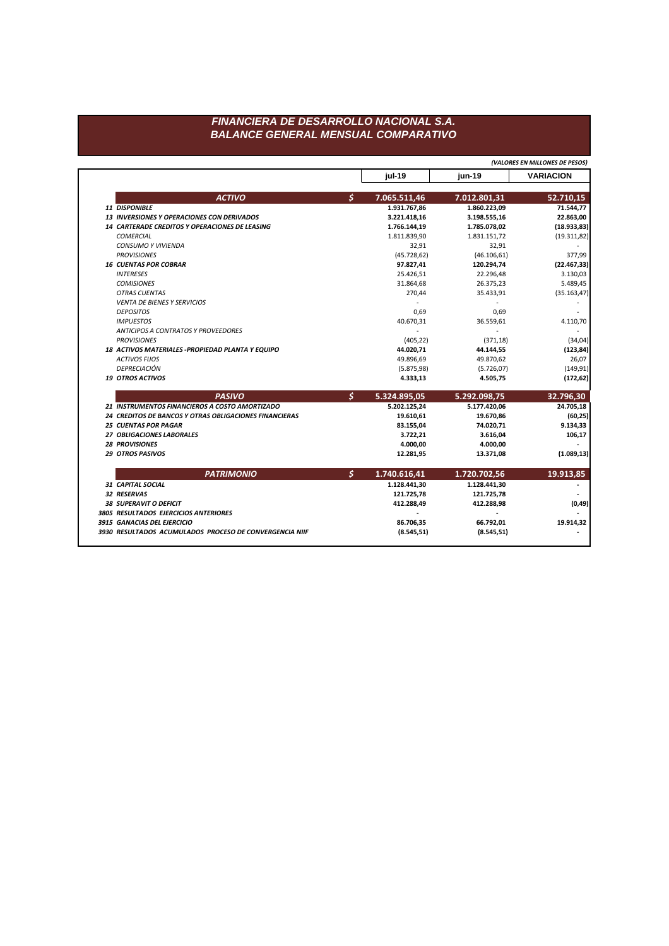## FINANCIERA DE DESARROLLO NACIONAL S.A. **BALANCE GENERAL MENSUAL COMPARATIVO**

(VALORES EN MILLONES DE PESOS) **VARIACION** jul-19 jun-19  $\mathsf{S}$ **ACTIVO** 7.065.511,46 7.012.801,31 52.710,15 71.544,77 11 DISPONIBLE 1.931.767,86 1.860.223,09 13 INVERSIONES Y OPERACIONES CON DERIVADOS 3.221.418,16 3.198.555,16 22.863,00 14 CARTERADE CREDITOS Y OPERACIONES DE LEASING  $(18.933, 83)$ 1.766.144,19 1.785.078,02 **COMERCIAL** 1.811.839,90 1.831.151,72  $(19.311, 82)$ CONSUMO Y VIVIENDA 32,91 32,91 **PROVISIONES** 377,99  $(45.728, 62)$  $(46.106, 61)$ **16 CUENTAS POR COBRAR** 97.827,41 120.294,74  $(22.467, 33)$ **INTERESES** 22.296,48 25.426,51 3.130,03 26.375,23 5.489,45 **COMISIONES** 31.864,68 OTRAS CUENTAS 270,44 35.433,91  $(35.163, 47)$ **VENTA DE BIENES Y SERVICIOS**  $\sim$  $\sim$  $\sim$ **DEPOSITOS** 0,69 0,69  $\overline{\phantom{a}}$ 4.110,70 **IMPUESTOS** 40.670,31 36.559,61 ANTICIPOS A CONTRATOS Y PROVEEDORES  $\sim$  $\sim$ **PROVISIONES**  $(405, 22)$  $(371, 18)$  $(34, 04)$ 18 ACTIVOS MATERIALES - PROPIEDAD PLANTA Y EQUIPO 44.020,71 44.144,55  $(123, 84)$ **ACTIVOS FIJOS** 49.896,69 49.870,62 26,07 DEPRECIACIÓN  $(5.875, 98)$  $(5.726, 07)$  $(149, 91)$ **19 OTROS ACTIVOS** 4.333,13 4.505,75  $(172, 62)$  $\mathsf{S}$ **PASIVO** 5.324.895,05 5.292.098,75 32.796,30 21 INSTRUMENTOS FINANCIEROS A COSTO AMORTIZADO 5.202.125,24 5.177.420,06 24.705,18 24 CREDITOS DE BANCOS Y OTRAS OBLIGACIONES FINANCIERAS 19.670,86 19.610,61  $(60, 25)$ **25 CUENTAS POR PAGAR** 83.155,04 74.020,71 9.134,33 27 OBLIGACIONES LABORALES 3.722,21 106,17 3.616,04 **28 PROVISIONES** 4.000,00 4.000,00 **29 OTROS PASIVOS**  $(1.089, 13)$ 12.281,95 13.371,08  $\mathsf{S}$ **PATRIMONIO** 1.740.616,41 1.720.702,56 19.913,85 31 CAPITAL SOCIAL 1.128.441,30 1.128.441,30 32 RESERVAS 121.725,78 121.725,78  $\sim$ 38 SUPERAVIT O DEFICIT 412.288,49 412.288,98  $(0, 49)$ 3805 RESULTADOS EJERCICIOS ANTERIORES  $\sim$  $\blacksquare$ 3915 GANACIAS DEL EJERCICIO 86.706,35 66.792,01 19.914,32 3930 RESULTADOS ACUMULADOS PROCESO DE CONVERGENCIA NIIF  $(8.545, 51)$  $(8.545, 51)$  $\overline{\phantom{a}}$